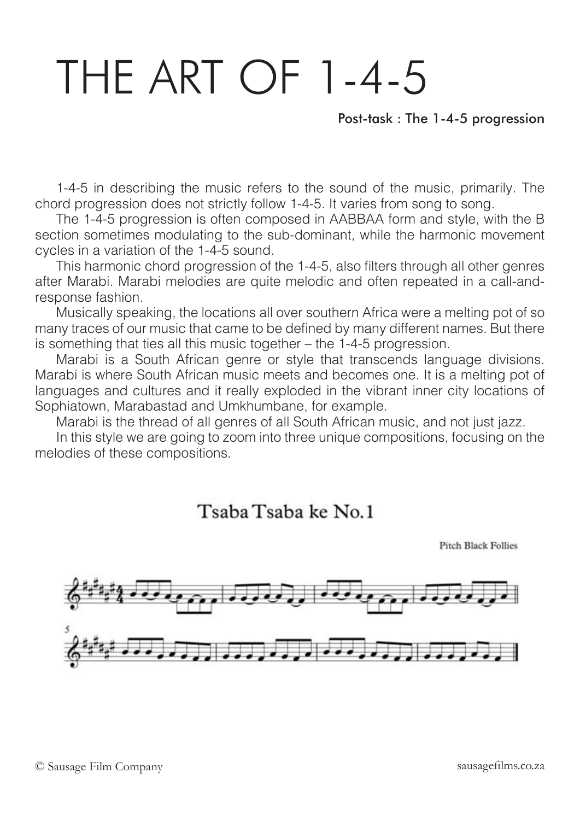# THE ART OF 1-4-5

Post-task : The 1-4-5 progression

1-4-5 in describing the music refers to the sound of the music, primarily. The chord progression does not strictly follow 1-4-5. It varies from song to song.

The 1-4-5 progression is often composed in AABBAA form and style, with the B section sometimes modulating to the sub-dominant, while the harmonic movement cycles in a variation of the 1-4-5 sound.

This harmonic chord progression of the 1-4-5, also filters through all other genres after Marabi. Marabi melodies are quite melodic and often repeated in a call-andresponse fashion.

Musically speaking, the locations all over southern Africa were a melting pot of so many traces of our music that came to be defined by many different names. But there is something that ties all this music together – the 1-4-5 progression.

Marabi is a South African genre or style that transcends language divisions. Marabi is where South African music meets and becomes one. It is a melting pot of languages and cultures and it really exploded in the vibrant inner city locations of Sophiatown, Marabastad and Umkhumbane, for example.

Marabi is the thread of all genres of all South African music, and not just jazz.

In this style we are going to zoom into three unique compositions, focusing on the melodies of these compositions.

#### Tsaba Tsaba ke No.1

**Pitch Black Follies** 

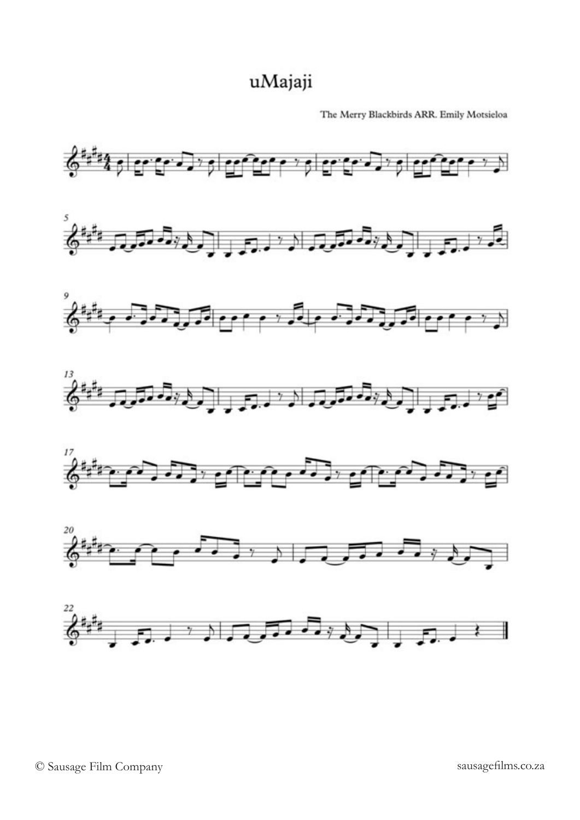## uMajaji

The Merry Blackbirds ARR. Emily Motsieloa